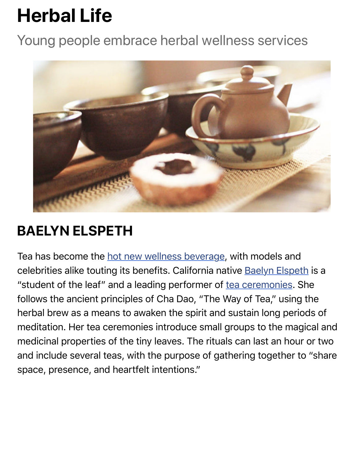

## **BAELYN ELSPETH**

Tea has become the hot new wellness beverage, with models and celebrities alike touting its benefits. California native Baelyn Elspeth "student of the leaf" and a leading performer of tea ceremonies. She follows the ancient principles of Cha Dao, "The Way of Tea," using the herbal brew as a me[ans to awaken the spirit and](http://www.vogue.com/13295967/tea-is-the-new-juice-beauty-wellness-health/) sustain long perioc meditation. Her tea ceremonies introduce small groups to the magion medicinal properties of the tiny leaves. The ritua[ls can last an ho](http://www.allmattersofspirit.com/tea-1/)ur or and include several teas, with the purpose of gathering together to space, presence, and heartfelt intentions."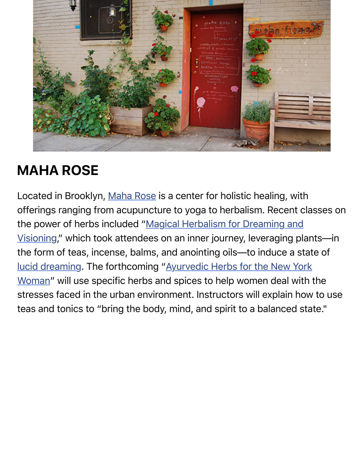

## **MAHA ROSE**

Located in Brooklyn, Maha Rose is a center for holistic healing, with offerings ranging from acupuncture to yoga to herbalism. Recent classes the power of herbs included "Magical Herbalism for Dreaming and Visioning," which took attendees on an inner journey, leveraging pla the form of teas, inc[ense, balms,](http://www.maharose.com/) and anointing oils—to induce a state lucid dreaming. The forthcoming "Ayurvedic Herbs for the New York Woman" will use specific herbs and spices to help women deal with [stresses faced in the urban environment. Instructors will explain ho](http://webcache.googleusercontent.com/search?q=cache:ludMRaLYbdoJ:www.maharose.com/products/thursday-january-21st-magical-herbalism-herbs-for-dreaming-and-visioning+&cd=1&hl=en&ct=clnk&gl=us)w teas and tonics to "bring the body, mind, and spirit to a balanced state.